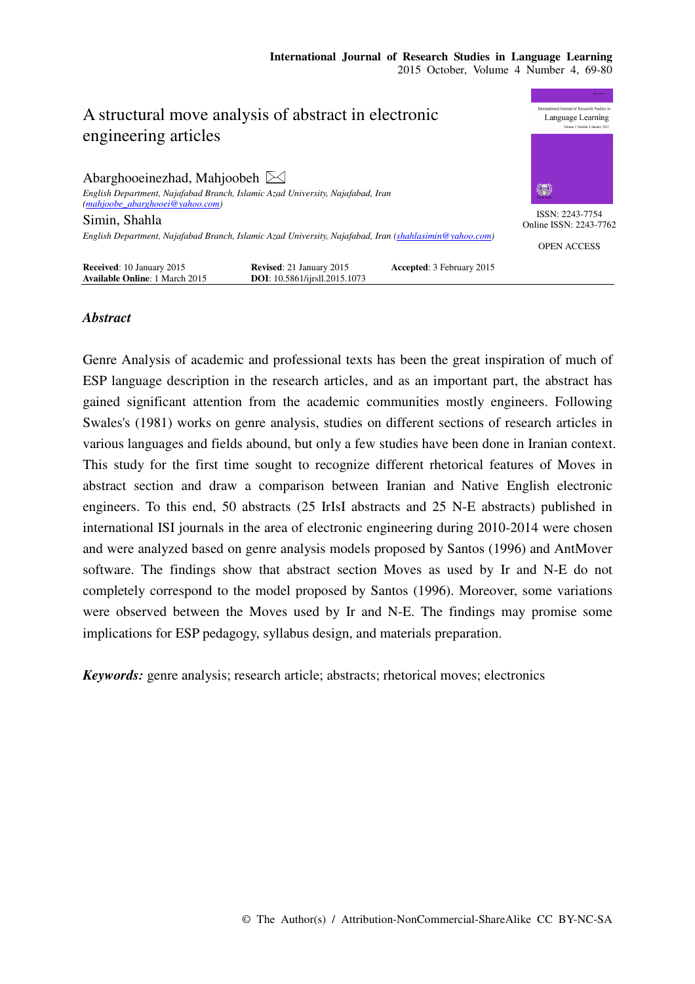

# *Abstract*

Genre Analysis of academic and professional texts has been the great inspiration of much of ESP language description in the research articles, and as an important part, the abstract has gained significant attention from the academic communities mostly engineers. Following Swales's (1981) works on genre analysis, studies on different sections of research articles in various languages and fields abound, but only a few studies have been done in Iranian context. This study for the first time sought to recognize different rhetorical features of Moves in abstract section and draw a comparison between Iranian and Native English electronic engineers. To this end, 50 abstracts (25 IrIsI abstracts and 25 N-E abstracts) published in international ISI journals in the area of electronic engineering during 2010-2014 were chosen and were analyzed based on genre analysis models proposed by Santos (1996) and AntMover software. The findings show that abstract section Moves as used by Ir and N-E do not completely correspond to the model proposed by Santos (1996). Moreover, some variations were observed between the Moves used by Ir and N-E. The findings may promise some implications for ESP pedagogy, syllabus design, and materials preparation.

*Keywords:* genre analysis; research article; abstracts; rhetorical moves; electronics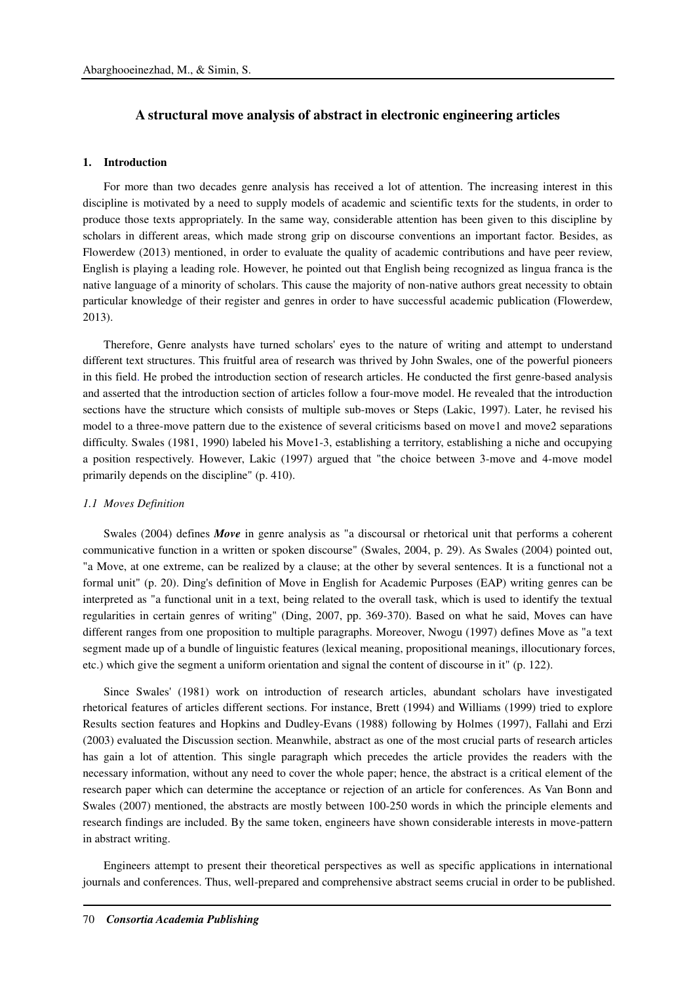# **A structural move analysis of abstract in electronic engineering articles**

### **1. Introduction**

For more than two decades genre analysis has received a lot of attention. The increasing interest in this discipline is motivated by a need to supply models of academic and scientific texts for the students, in order to produce those texts appropriately. In the same way, considerable attention has been given to this discipline by scholars in different areas, which made strong grip on discourse conventions an important factor. Besides, as Flowerdew (2013) mentioned, in order to evaluate the quality of academic contributions and have peer review, English is playing a leading role. However, he pointed out that English being recognized as lingua franca is the native language of a minority of scholars. This cause the majority of non-native authors great necessity to obtain particular knowledge of their register and genres in order to have successful academic publication (Flowerdew, 2013).

Therefore, Genre analysts have turned scholars' eyes to the nature of writing and attempt to understand different text structures. This fruitful area of research was thrived by John Swales, one of the powerful pioneers in this field. He probed the introduction section of research articles. He conducted the first genre-based analysis and asserted that the introduction section of articles follow a four-move model. He revealed that the introduction sections have the structure which consists of multiple sub-moves or Steps (Lakic, 1997). Later, he revised his model to a three-move pattern due to the existence of several criticisms based on move1 and move2 separations difficulty. Swales (1981, 1990) labeled his Move1-3, establishing a territory, establishing a niche and occupying a position respectively. However, Lakic (1997) argued that "the choice between 3-move and 4-move model primarily depends on the discipline" (p. 410).

#### *1.1 Moves Definition*

Swales (2004) defines *Move* in genre analysis as "a discoursal or rhetorical unit that performs a coherent communicative function in a written or spoken discourse" (Swales, 2004, p. 29). As Swales (2004) pointed out, "a Move, at one extreme, can be realized by a clause; at the other by several sentences. It is a functional not a formal unit" (p. 20). Ding's definition of Move in English for Academic Purposes (EAP) writing genres can be interpreted as "a functional unit in a text, being related to the overall task, which is used to identify the textual regularities in certain genres of writing" (Ding, 2007, pp. 369-370). Based on what he said, Moves can have different ranges from one proposition to multiple paragraphs. Moreover, Nwogu (1997) defines Move as "a text segment made up of a bundle of linguistic features (lexical meaning, propositional meanings, illocutionary forces, etc.) which give the segment a uniform orientation and signal the content of discourse in it" (p. 122).

Since Swales' (1981) work on introduction of research articles, abundant scholars have investigated rhetorical features of articles different sections. For instance, Brett (1994) and Williams (1999) tried to explore Results section features and Hopkins and Dudley-Evans (1988) following by Holmes (1997), Fallahi and Erzi (2003) evaluated the Discussion section. Meanwhile, abstract as one of the most crucial parts of research articles has gain a lot of attention. This single paragraph which precedes the article provides the readers with the necessary information, without any need to cover the whole paper; hence, the abstract is a critical element of the research paper which can determine the acceptance or rejection of an article for conferences. As Van Bonn and Swales (2007) mentioned, the abstracts are mostly between 100-250 words in which the principle elements and research findings are included. By the same token, engineers have shown considerable interests in move-pattern in abstract writing.

Engineers attempt to present their theoretical perspectives as well as specific applications in international journals and conferences. Thus, well-prepared and comprehensive abstract seems crucial in order to be published.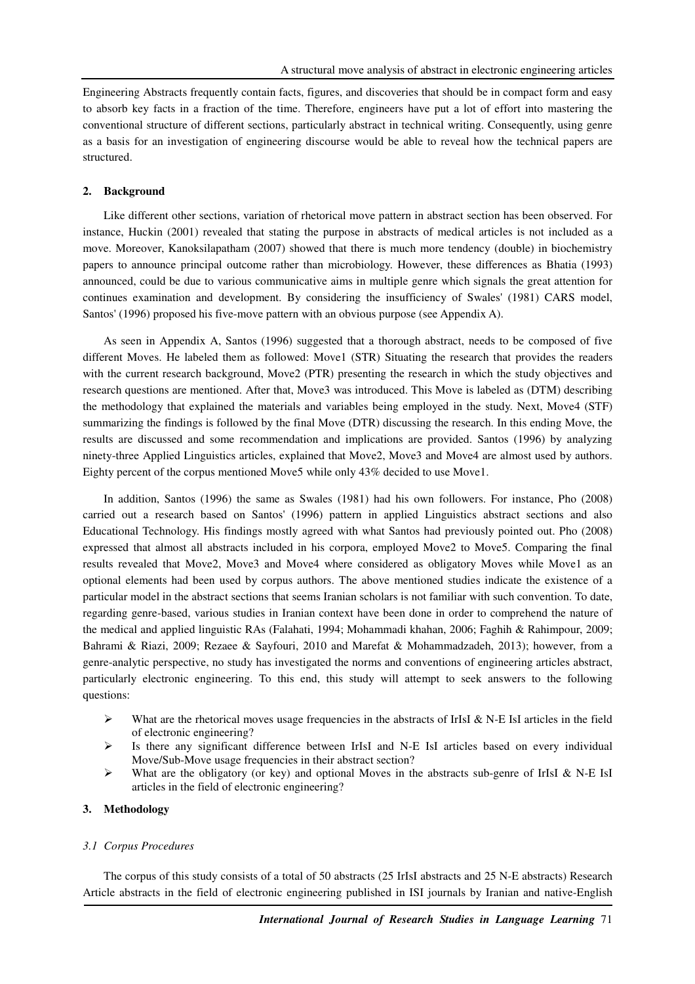Engineering Abstracts frequently contain facts, figures, and discoveries that should be in compact form and easy to absorb key facts in a fraction of the time. Therefore, engineers have put a lot of effort into mastering the conventional structure of different sections, particularly abstract in technical writing. Consequently, using genre as a basis for an investigation of engineering discourse would be able to reveal how the technical papers are structured.

#### **2. Background**

Like different other sections, variation of rhetorical move pattern in abstract section has been observed. For instance, Huckin (2001) revealed that stating the purpose in abstracts of medical articles is not included as a move. Moreover, Kanoksilapatham (2007) showed that there is much more tendency (double) in biochemistry papers to announce principal outcome rather than microbiology. However, these differences as Bhatia (1993) announced, could be due to various communicative aims in multiple genre which signals the great attention for continues examination and development. By considering the insufficiency of Swales' (1981) CARS model, Santos' (1996) proposed his five-move pattern with an obvious purpose (see Appendix A).

As seen in Appendix A, Santos (1996) suggested that a thorough abstract, needs to be composed of five different Moves. He labeled them as followed: Move1 (STR) Situating the research that provides the readers with the current research background, Move2 (PTR) presenting the research in which the study objectives and research questions are mentioned. After that, Move3 was introduced. This Move is labeled as (DTM) describing the methodology that explained the materials and variables being employed in the study. Next, Move4 (STF) summarizing the findings is followed by the final Move (DTR) discussing the research. In this ending Move, the results are discussed and some recommendation and implications are provided. Santos (1996) by analyzing ninety-three Applied Linguistics articles, explained that Move2, Move3 and Move4 are almost used by authors. Eighty percent of the corpus mentioned Move5 while only 43% decided to use Move1.

In addition, Santos (1996) the same as Swales (1981) had his own followers. For instance, Pho (2008) carried out a research based on Santos' (1996) pattern in applied Linguistics abstract sections and also Educational Technology. His findings mostly agreed with what Santos had previously pointed out. Pho (2008) expressed that almost all abstracts included in his corpora, employed Move2 to Move5. Comparing the final results revealed that Move2, Move3 and Move4 where considered as obligatory Moves while Move1 as an optional elements had been used by corpus authors. The above mentioned studies indicate the existence of a particular model in the abstract sections that seems Iranian scholars is not familiar with such convention. To date, regarding genre-based, various studies in Iranian context have been done in order to comprehend the nature of the medical and applied linguistic RAs (Falahati, 1994; Mohammadi khahan, 2006; Faghih & Rahimpour, 2009; Bahrami & Riazi, 2009; Rezaee & Sayfouri, 2010 and Marefat & Mohammadzadeh, 2013); however, from a genre-analytic perspective, no study has investigated the norms and conventions of engineering articles abstract, particularly electronic engineering. To this end, this study will attempt to seek answers to the following questions:

- $\triangleright$  What are the rhetorical moves usage frequencies in the abstracts of IrIsI & N-E IsI articles in the field of electronic engineering?
- $\triangleright$  Is there any significant difference between IrIsI and N-E IsI articles based on every individual Move/Sub-Move usage frequencies in their abstract section?
- $\triangleright$  What are the obligatory (or key) and optional Moves in the abstracts sub-genre of IrIsI & N-E IsI articles in the field of electronic engineering?

### **3. Methodology**

#### *3.1 Corpus Procedures*

The corpus of this study consists of a total of 50 abstracts (25 IrIsI abstracts and 25 N-E abstracts) Research Article abstracts in the field of electronic engineering published in ISI journals by Iranian and native-English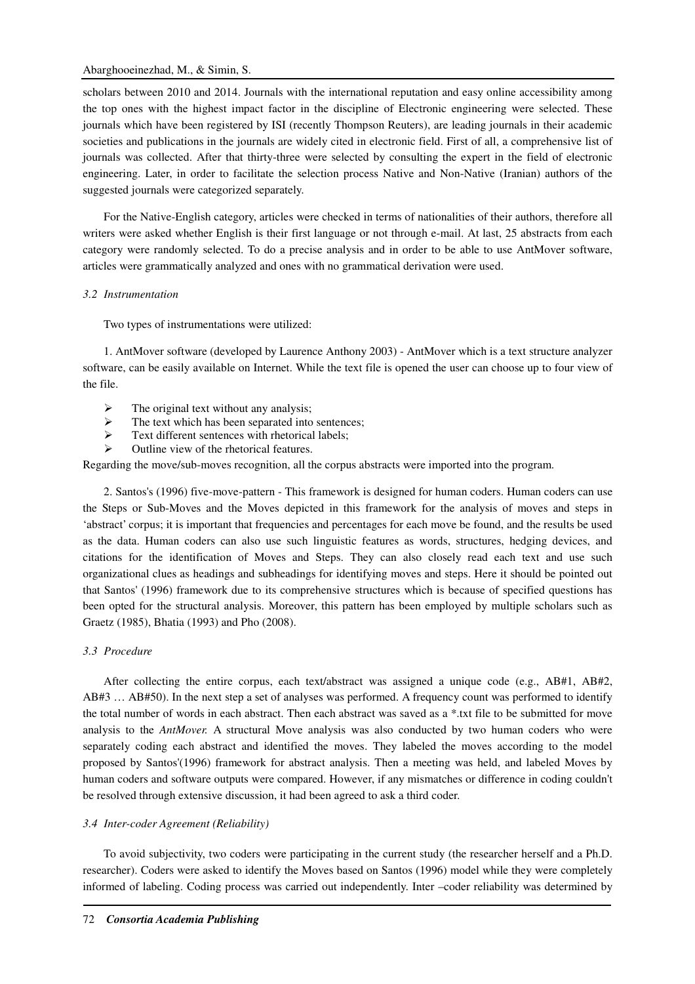### Abarghooeinezhad, M., & Simin, S.

scholars between 2010 and 2014. Journals with the international reputation and easy online accessibility among the top ones with the highest impact factor in the discipline of Electronic engineering were selected. These journals which have been registered by ISI (recently Thompson Reuters), are leading journals in their academic societies and publications in the journals are widely cited in electronic field. First of all, a comprehensive list of journals was collected. After that thirty-three were selected by consulting the expert in the field of electronic engineering. Later, in order to facilitate the selection process Native and Non-Native (Iranian) authors of the suggested journals were categorized separately.

For the Native-English category, articles were checked in terms of nationalities of their authors, therefore all writers were asked whether English is their first language or not through e-mail. At last, 25 abstracts from each category were randomly selected. To do a precise analysis and in order to be able to use AntMover software, articles were grammatically analyzed and ones with no grammatical derivation were used.

### *3.2 Instrumentation*

Two types of instrumentations were utilized:

1. AntMover software (developed by Laurence Anthony 2003) - AntMover which is a text structure analyzer software, can be easily available on Internet. While the text file is opened the user can choose up to four view of the file.

- The original text without any analysis;
- > The text which has been separated into sentences;
- $\triangleright$  Text different sentences with rhetorical labels:
- Outline view of the rhetorical features.

Regarding the move/sub-moves recognition, all the corpus abstracts were imported into the program.

2. Santos's (1996) five-move-pattern - This framework is designed for human coders. Human coders can use the Steps or Sub-Moves and the Moves depicted in this framework for the analysis of moves and steps in 'abstract' corpus; it is important that frequencies and percentages for each move be found, and the results be used as the data. Human coders can also use such linguistic features as words, structures, hedging devices, and citations for the identification of Moves and Steps. They can also closely read each text and use such organizational clues as headings and subheadings for identifying moves and steps. Here it should be pointed out that Santos' (1996) framework due to its comprehensive structures which is because of specified questions has been opted for the structural analysis. Moreover, this pattern has been employed by multiple scholars such as Graetz (1985), Bhatia (1993) and Pho (2008).

### *3.3 Procedure*

After collecting the entire corpus, each text/abstract was assigned a unique code (e.g., AB#1, AB#2, AB#3 … AB#50). In the next step a set of analyses was performed. A frequency count was performed to identify the total number of words in each abstract. Then each abstract was saved as a \*.txt file to be submitted for move analysis to the *AntMover.* A structural Move analysis was also conducted by two human coders who were separately coding each abstract and identified the moves. They labeled the moves according to the model proposed by Santos'(1996) framework for abstract analysis. Then a meeting was held, and labeled Moves by human coders and software outputs were compared. However, if any mismatches or difference in coding couldn't be resolved through extensive discussion, it had been agreed to ask a third coder.

### *3.4 Inter-coder Agreement (Reliability)*

To avoid subjectivity, two coders were participating in the current study (the researcher herself and a Ph.D. researcher). Coders were asked to identify the Moves based on Santos (1996) model while they were completely informed of labeling. Coding process was carried out independently. Inter –coder reliability was determined by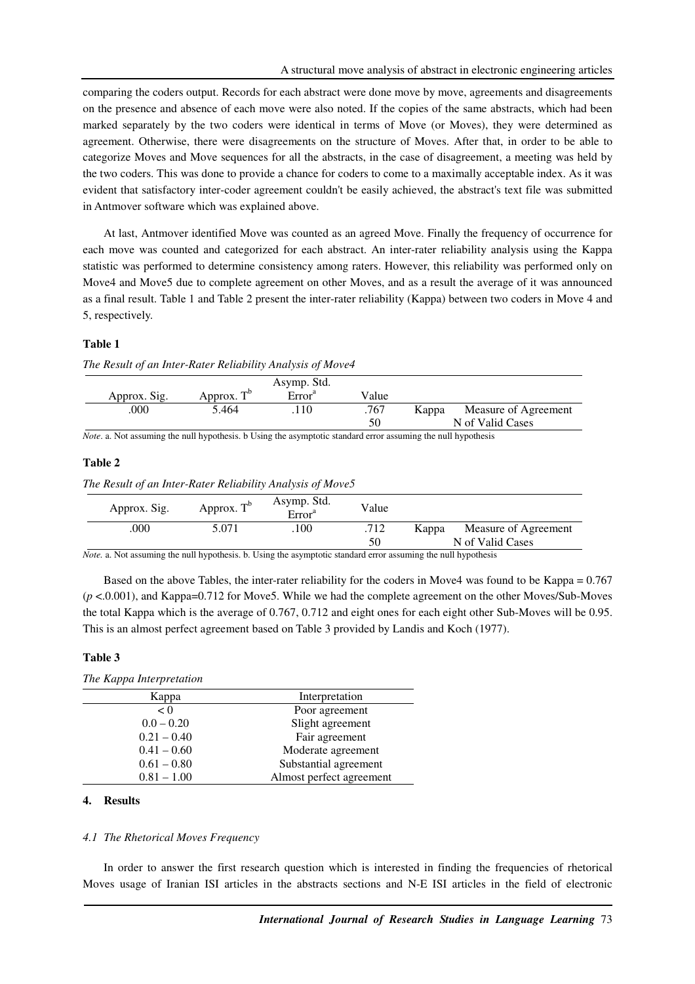comparing the coders output. Records for each abstract were done move by move, agreements and disagreements on the presence and absence of each move were also noted. If the copies of the same abstracts, which had been marked separately by the two coders were identical in terms of Move (or Moves), they were determined as agreement. Otherwise, there were disagreements on the structure of Moves. After that, in order to be able to categorize Moves and Move sequences for all the abstracts, in the case of disagreement, a meeting was held by the two coders. This was done to provide a chance for coders to come to a maximally acceptable index. As it was evident that satisfactory inter-coder agreement couldn't be easily achieved, the abstract's text file was submitted in Antmover software which was explained above.

At last, Antmover identified Move was counted as an agreed Move. Finally the frequency of occurrence for each move was counted and categorized for each abstract. An inter-rater reliability analysis using the Kappa statistic was performed to determine consistency among raters. However, this reliability was performed only on Move4 and Move5 due to complete agreement on other Moves, and as a result the average of it was announced as a final result. Table 1 and Table 2 present the inter-rater reliability (Kappa) between two coders in Move 4 and 5, respectively.

### **Table 1**

|              |               | Asymp. Std.        |       |       |                      |
|--------------|---------------|--------------------|-------|-------|----------------------|
| Approx. Sig. | Approx. $T^b$ | Error <sup>a</sup> | Value |       |                      |
| .000         | 5.464         | .110               | .767  | Kappa | Measure of Agreement |
|              |               |                    | 50    |       | N of Valid Cases     |

*Note*. a. Not assuming the null hypothesis. b Using the asymptotic standard error assuming the null hypothesis

### **Table 2**

*The Result of an Inter-Rater Reliability Analysis of Move5*

| Approx. Sig. | Approx. $T^b$ | Asymp. Std.<br>Error <sup>a</sup> | Value      |                                                   |
|--------------|---------------|-----------------------------------|------------|---------------------------------------------------|
| .000         | 5.071         | $.100\,$                          | .712<br>50 | Measure of Agreement<br>Kappa<br>N of Valid Cases |

*Note.* a. Not assuming the null hypothesis. b. Using the asymptotic standard error assuming the null hypothesis

Based on the above Tables, the inter-rater reliability for the coders in Move4 was found to be Kappa = 0.767 (*p* <.0.001), and Kappa=0.712 for Move5. While we had the complete agreement on the other Moves/Sub-Moves the total Kappa which is the average of 0.767, 0.712 and eight ones for each eight other Sub-Moves will be 0.95. This is an almost perfect agreement based on Table 3 provided by Landis and Koch (1977).

## **Table 3**

### *The Kappa Interpretation*

| Kappa         | Interpretation           |
|---------------|--------------------------|
| < 0           | Poor agreement           |
| $0.0 - 0.20$  | Slight agreement         |
| $0.21 - 0.40$ | Fair agreement           |
| $0.41 - 0.60$ | Moderate agreement       |
| $0.61 - 0.80$ | Substantial agreement    |
| $0.81 - 1.00$ | Almost perfect agreement |

## **4. Results**

### *4.1 The Rhetorical Moves Frequency*

In order to answer the first research question which is interested in finding the frequencies of rhetorical Moves usage of Iranian ISI articles in the abstracts sections and N-E ISI articles in the field of electronic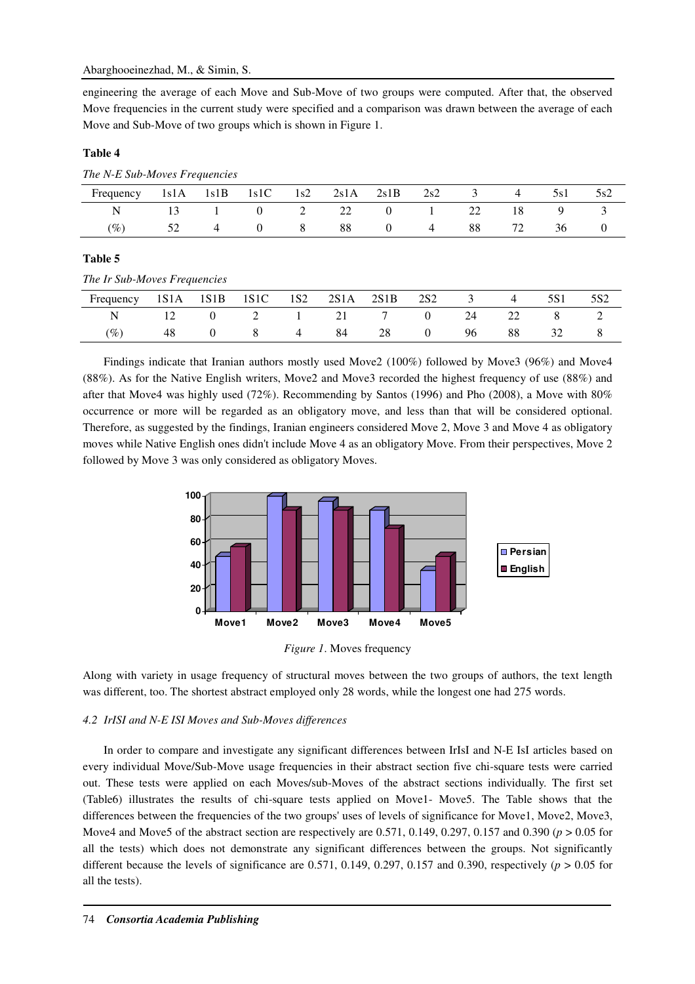engineering the average of each Move and Sub-Move of two groups were computed. After that, the observed Move frequencies in the current study were specified and a comparison was drawn between the average of each Move and Sub-Move of two groups which is shown in Figure 1.

# **Table 4**

| The N-E Sub-Moves Frequencies |      |      |          |     |      |                |     |    |    |     |     |
|-------------------------------|------|------|----------|-----|------|----------------|-----|----|----|-----|-----|
| Frequency                     | 1s1A | 1s1B | 1s1C     | 1s2 | 2s1A | 2s1B           | 2s2 |    |    | 5s1 | 5s2 |
| N                             |      |      | $\Omega$ |     | 22   | $\theta$       |     | 22 | 18 | 9   |     |
| $(\%)$                        | 52   |      | $\theta$ | 8   | 88   | $\overline{0}$ | 4   | 88 | 72 | 36  |     |
|                               |      |      |          |     |      |                |     |    |    |     |     |

## **Table 5**

*The Ir Sub-Moves Frequencies* 

| Frequency 1S1A 1S1B 1S1C 1S2 2S1A 2S1B 2S2 3 4 |    |                             |      |      |    |    | 5S1 | 5S <sub>2</sub> |
|------------------------------------------------|----|-----------------------------|------|------|----|----|-----|-----------------|
|                                                |    | N 12 0 2 1 21 7 0 24 22 8 2 |      |      |    |    |     |                 |
| $\mathscr{D}_o$                                | 48 | $0 \quad 8 \quad 4$         | - 84 | 28 0 | 96 | 88 | 32  |                 |

Findings indicate that Iranian authors mostly used Move2 (100%) followed by Move3 (96%) and Move4 (88%). As for the Native English writers, Move2 and Move3 recorded the highest frequency of use (88%) and after that Move4 was highly used (72%). Recommending by Santos (1996) and Pho (2008), a Move with 80% occurrence or more will be regarded as an obligatory move, and less than that will be considered optional. Therefore, as suggested by the findings, Iranian engineers considered Move 2, Move 3 and Move 4 as obligatory moves while Native English ones didn't include Move 4 as an obligatory Move. From their perspectives, Move 2 followed by Move 3 was only considered as obligatory Moves.



*Figure 1*. Moves frequency

Along with variety in usage frequency of structural moves between the two groups of authors, the text length was different, too. The shortest abstract employed only 28 words, while the longest one had 275 words.

## *4.2 IrISI and N-E ISI Moves and Sub-Moves differences*

In order to compare and investigate any significant differences between IrIsI and N-E IsI articles based on every individual Move/Sub-Move usage frequencies in their abstract section five chi-square tests were carried out. These tests were applied on each Moves/sub-Moves of the abstract sections individually. The first set (Table6) illustrates the results of chi-square tests applied on Move1- Move5. The Table shows that the differences between the frequencies of the two groups' uses of levels of significance for Move1, Move2, Move3, Move4 and Move5 of the abstract section are respectively are 0.571, 0.149, 0.297, 0.157 and 0.390 (*p* > 0.05 for all the tests) which does not demonstrate any significant differences between the groups. Not significantly different because the levels of significance are 0.571, 0.149, 0.297, 0.157 and 0.390, respectively ( $p > 0.05$  for all the tests).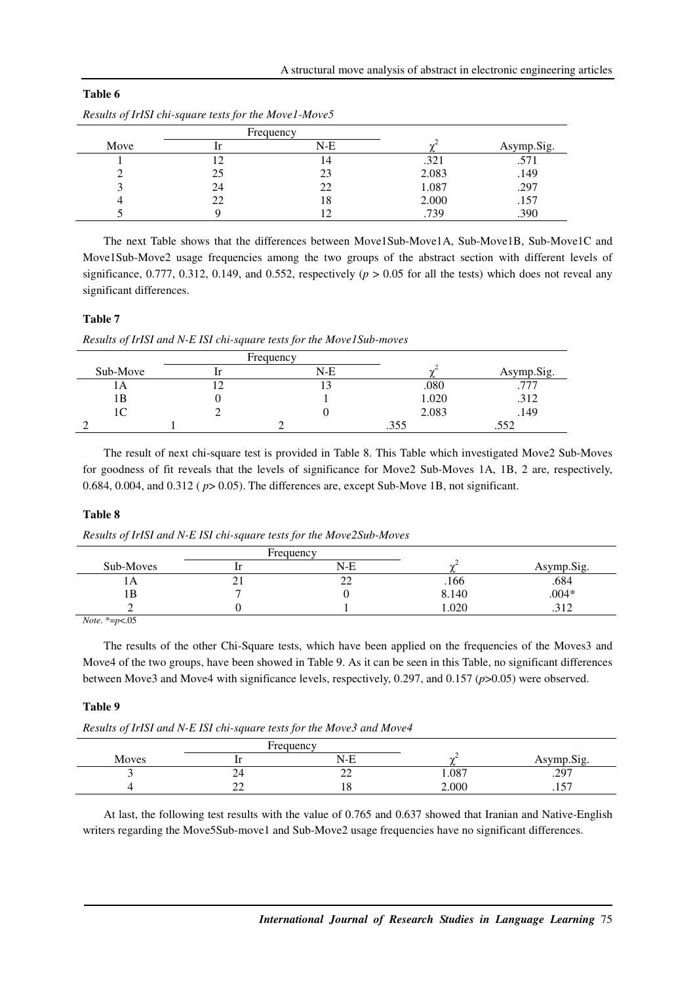|      | nesmis of 1.151 cm square resis for me neo ref neo ree |           |       |            |
|------|--------------------------------------------------------|-----------|-------|------------|
|      |                                                        | Frequency |       |            |
| Move |                                                        | $N-E$     |       | Asymp.Sig. |
|      |                                                        | 14        | .321  | .571       |
|      | 25                                                     | 23        | 2.083 | .149       |
|      | 24                                                     | 22        | 1.087 | .297       |
| 4    | 22                                                     | 18        | 2.000 | .157       |
|      |                                                        |           | .739  | .390       |

| Results of IrISI chi-square tests for the Move1-Move5 |  |  |
|-------------------------------------------------------|--|--|
|                                                       |  |  |

The next Table shows that the differences between Move1Sub-Move1A, Sub-Move1B, Sub-Move1C and Move1Sub-Move2 usage frequencies among the two groups of the abstract section with different levels of significance, 0.777, 0.312, 0.149, and 0.552, respectively  $(p > 0.05$  for all the tests) which does not reveal any significant differences.

## **Table 7**

**Table 6** 

*Results of IrISI and N-E ISI chi-square tests for the Move1Sub-moves* 

|          | Frequency |       |            |
|----------|-----------|-------|------------|
| Sub-Move | N-E       |       | Asymp.Sig. |
| IА       |           | .080  |            |
| 1B       |           | 1.020 | .312       |
| 1C       |           | 2.083 | .149       |
|          |           | .355  | ے ر.,      |

The result of next chi-square test is provided in Table 8. This Table which investigated Move2 Sub-Moves for goodness of fit reveals that the levels of significance for Move2 Sub-Moves 1A, 1B, 2 are, respectively, 0.684, 0.004, and 0.312 ( $p > 0.05$ ). The differences are, except Sub-Move 1B, not significant.

### **Table 8**

*Results of IrISI and N-E ISI chi-square tests for the Move2Sub-Moves* 

|           |          | Frequency    |       |              |
|-----------|----------|--------------|-------|--------------|
| Sub-Moves |          | $N-E$        |       | Asymp.Sig.   |
| 1 A       | $\sim$ 1 | $\sim$<br>∠∠ | .166  | .684         |
| ١B        |          |              | 8.140 | $.004*$      |
|           |          |              | 1.020 | 212<br>⊿ 1 ف |

*Note*. \*=*p*<.05

The results of the other Chi-Square tests, which have been applied on the frequencies of the Moves3 and Move4 of the two groups, have been showed in Table 9. As it can be seen in this Table, no significant differences between Move3 and Move4 with significance levels, respectively, 0.297, and 0.157 (*p*>0.05) were observed.

### **Table 9**

*Results of IrISI and N-E ISI chi-square tests for the Move3 and Move4* 

|       | Frequency                      |             |       |                         |
|-------|--------------------------------|-------------|-------|-------------------------|
| Moves |                                | N-E         |       | Asymp.Sig.              |
|       | 24                             | $\sim$<br>∼ | 1.087 | .297                    |
|       | nη<br>$\overline{\phantom{a}}$ | 10          | 2.000 | $-$<br>$\cdot$ . $\cup$ |

At last, the following test results with the value of 0.765 and 0.637 showed that Iranian and Native-English writers regarding the Move5Sub-move1 and Sub-Move2 usage frequencies have no significant differences.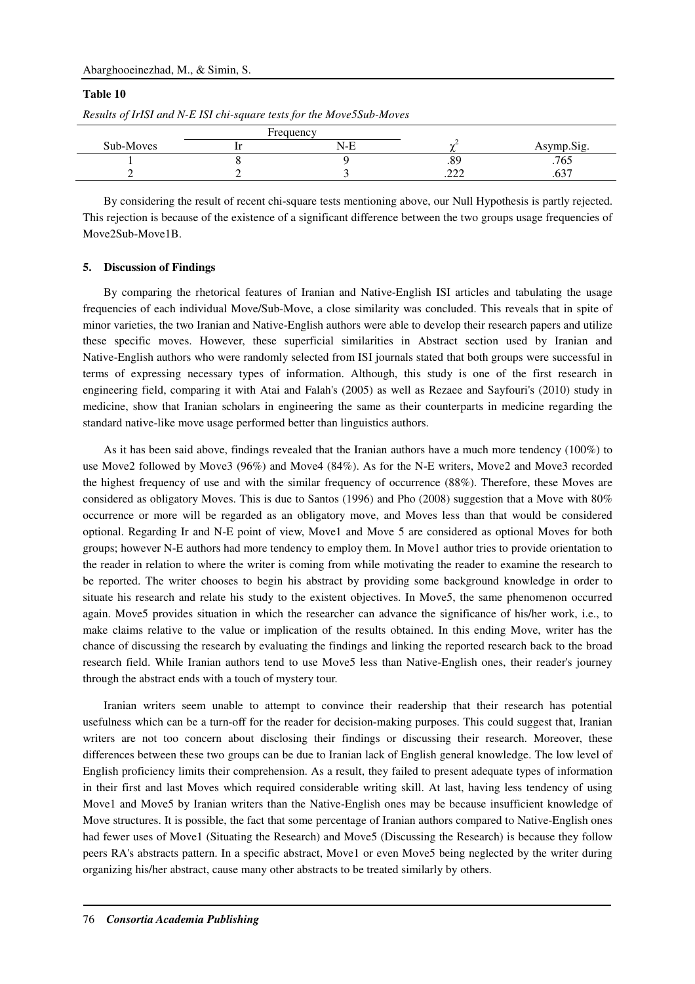### Abarghooeinezhad, M., & Simin, S.

### **Table 10**

|           | Frequency |              |                       |
|-----------|-----------|--------------|-----------------------|
| Sub-Moves | N-F       |              | Asymp.Sig.            |
|           |           | .89          | .765                  |
|           |           | nnn<br>ىمىسى | $\sim$ $\sim$<br>.v., |

*Results of IrISI and N-E ISI chi-square tests for the Move5Sub-Moves* 

By considering the result of recent chi-square tests mentioning above, our Null Hypothesis is partly rejected. This rejection is because of the existence of a significant difference between the two groups usage frequencies of Move2Sub-Move1B.

### **5. Discussion of Findings**

By comparing the rhetorical features of Iranian and Native-English ISI articles and tabulating the usage frequencies of each individual Move/Sub-Move, a close similarity was concluded. This reveals that in spite of minor varieties, the two Iranian and Native-English authors were able to develop their research papers and utilize these specific moves. However, these superficial similarities in Abstract section used by Iranian and Native-English authors who were randomly selected from ISI journals stated that both groups were successful in terms of expressing necessary types of information. Although, this study is one of the first research in engineering field, comparing it with Atai and Falah's (2005) as well as Rezaee and Sayfouri's (2010) study in medicine, show that Iranian scholars in engineering the same as their counterparts in medicine regarding the standard native-like move usage performed better than linguistics authors.

As it has been said above, findings revealed that the Iranian authors have a much more tendency (100%) to use Move2 followed by Move3 (96%) and Move4 (84%). As for the N-E writers, Move2 and Move3 recorded the highest frequency of use and with the similar frequency of occurrence (88%). Therefore, these Moves are considered as obligatory Moves. This is due to Santos (1996) and Pho (2008) suggestion that a Move with 80% occurrence or more will be regarded as an obligatory move, and Moves less than that would be considered optional. Regarding Ir and N-E point of view, Move1 and Move 5 are considered as optional Moves for both groups; however N-E authors had more tendency to employ them. In Move1 author tries to provide orientation to the reader in relation to where the writer is coming from while motivating the reader to examine the research to be reported. The writer chooses to begin his abstract by providing some background knowledge in order to situate his research and relate his study to the existent objectives. In Move5, the same phenomenon occurred again. Move5 provides situation in which the researcher can advance the significance of his/her work, i.e., to make claims relative to the value or implication of the results obtained. In this ending Move, writer has the chance of discussing the research by evaluating the findings and linking the reported research back to the broad research field. While Iranian authors tend to use Move5 less than Native-English ones, their reader's journey through the abstract ends with a touch of mystery tour.

Iranian writers seem unable to attempt to convince their readership that their research has potential usefulness which can be a turn-off for the reader for decision-making purposes. This could suggest that, Iranian writers are not too concern about disclosing their findings or discussing their research. Moreover, these differences between these two groups can be due to Iranian lack of English general knowledge. The low level of English proficiency limits their comprehension. As a result, they failed to present adequate types of information in their first and last Moves which required considerable writing skill. At last, having less tendency of using Move1 and Move5 by Iranian writers than the Native-English ones may be because insufficient knowledge of Move structures. It is possible, the fact that some percentage of Iranian authors compared to Native-English ones had fewer uses of Move1 (Situating the Research) and Move5 (Discussing the Research) is because they follow peers RA's abstracts pattern. In a specific abstract, Move1 or even Move5 being neglected by the writer during organizing his/her abstract, cause many other abstracts to be treated similarly by others.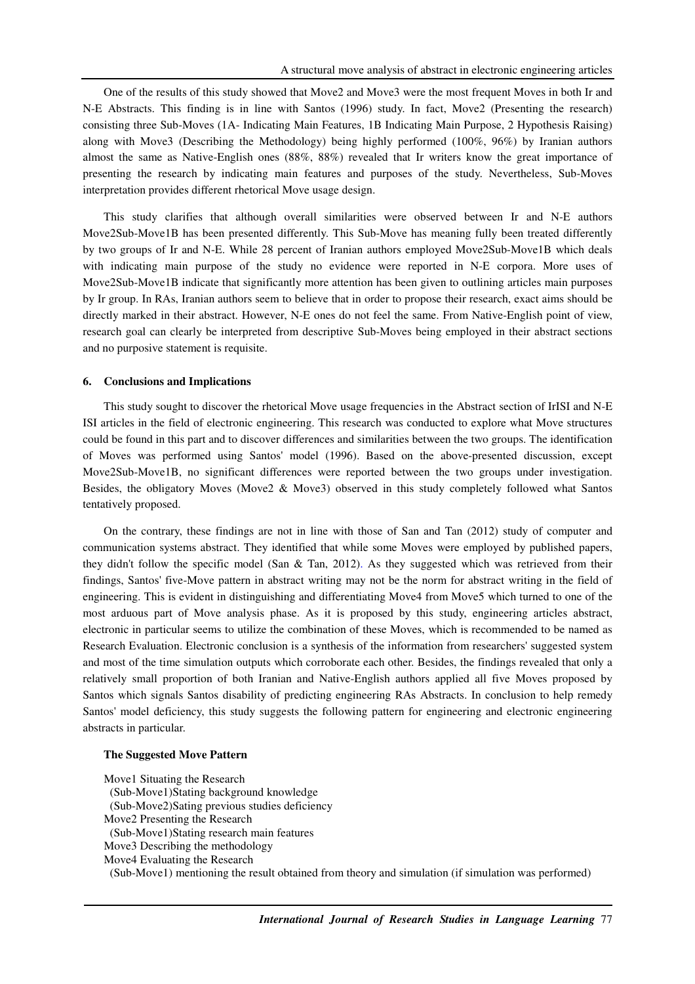One of the results of this study showed that Move2 and Move3 were the most frequent Moves in both Ir and N-E Abstracts. This finding is in line with Santos (1996) study. In fact, Move2 (Presenting the research) consisting three Sub-Moves (1A- Indicating Main Features, 1B Indicating Main Purpose, 2 Hypothesis Raising) along with Move3 (Describing the Methodology) being highly performed (100%, 96%) by Iranian authors almost the same as Native-English ones (88%, 88%) revealed that Ir writers know the great importance of presenting the research by indicating main features and purposes of the study. Nevertheless, Sub-Moves interpretation provides different rhetorical Move usage design.

This study clarifies that although overall similarities were observed between Ir and N-E authors Move2Sub-Move1B has been presented differently. This Sub-Move has meaning fully been treated differently by two groups of Ir and N-E. While 28 percent of Iranian authors employed Move2Sub-Move1B which deals with indicating main purpose of the study no evidence were reported in N-E corpora. More uses of Move2Sub-Move1B indicate that significantly more attention has been given to outlining articles main purposes by Ir group. In RAs, Iranian authors seem to believe that in order to propose their research, exact aims should be directly marked in their abstract. However, N-E ones do not feel the same. From Native-English point of view, research goal can clearly be interpreted from descriptive Sub-Moves being employed in their abstract sections and no purposive statement is requisite.

#### **6. Conclusions and Implications**

This study sought to discover the rhetorical Move usage frequencies in the Abstract section of IrISI and N-E ISI articles in the field of electronic engineering. This research was conducted to explore what Move structures could be found in this part and to discover differences and similarities between the two groups. The identification of Moves was performed using Santos' model (1996). Based on the above-presented discussion, except Move2Sub-Move1B, no significant differences were reported between the two groups under investigation. Besides, the obligatory Moves (Move2 & Move3) observed in this study completely followed what Santos tentatively proposed.

On the contrary, these findings are not in line with those of San and Tan (2012) study of computer and communication systems abstract. They identified that while some Moves were employed by published papers, they didn't follow the specific model (San & Tan, 2012). As they suggested which was retrieved from their findings, Santos' five-Move pattern in abstract writing may not be the norm for abstract writing in the field of engineering. This is evident in distinguishing and differentiating Move4 from Move5 which turned to one of the most arduous part of Move analysis phase. As it is proposed by this study, engineering articles abstract, electronic in particular seems to utilize the combination of these Moves, which is recommended to be named as Research Evaluation. Electronic conclusion is a synthesis of the information from researchers' suggested system and most of the time simulation outputs which corroborate each other. Besides, the findings revealed that only a relatively small proportion of both Iranian and Native-English authors applied all five Moves proposed by Santos which signals Santos disability of predicting engineering RAs Abstracts. In conclusion to help remedy Santos' model deficiency, this study suggests the following pattern for engineering and electronic engineering abstracts in particular.

#### **The Suggested Move Pattern**

Move1 Situating the Research (Sub-Move1)Stating background knowledge (Sub-Move2)Sating previous studies deficiency Move2 Presenting the Research (Sub-Move1)Stating research main features Move3 Describing the methodology Move4 Evaluating the Research

(Sub-Move1) mentioning the result obtained from theory and simulation (if simulation was performed)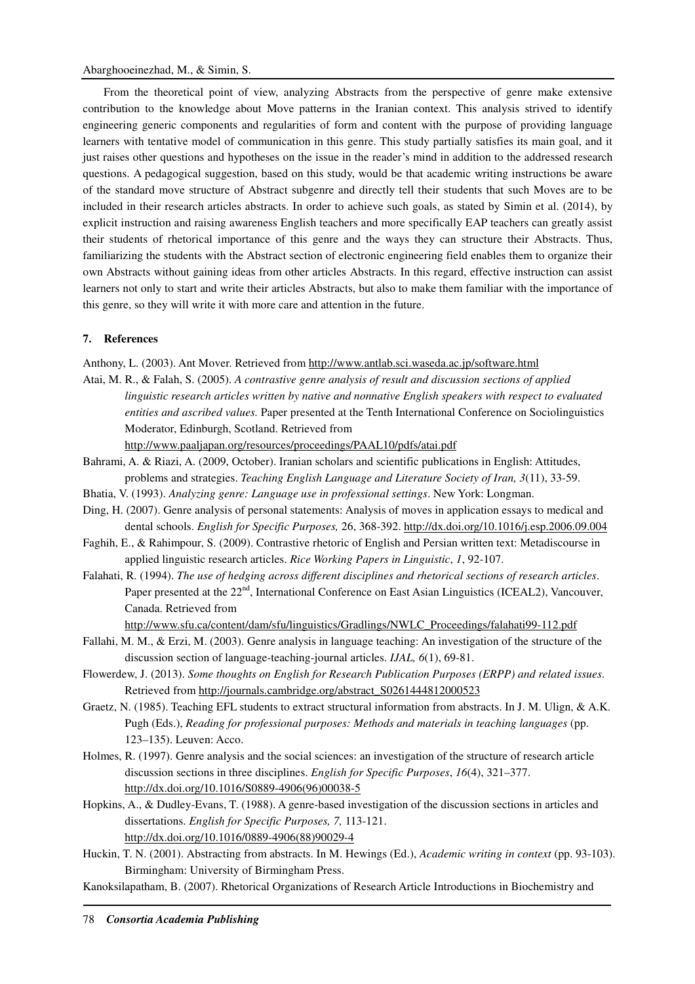From the theoretical point of view, analyzing Abstracts from the perspective of genre make extensive contribution to the knowledge about Move patterns in the Iranian context. This analysis strived to identify engineering generic components and regularities of form and content with the purpose of providing language learners with tentative model of communication in this genre. This study partially satisfies its main goal, and it just raises other questions and hypotheses on the issue in the reader's mind in addition to the addressed research questions. A pedagogical suggestion, based on this study, would be that academic writing instructions be aware of the standard move structure of Abstract subgenre and directly tell their students that such Moves are to be included in their research articles abstracts. In order to achieve such goals, as stated by Simin et al. (2014), by explicit instruction and raising awareness English teachers and more specifically EAP teachers can greatly assist their students of rhetorical importance of this genre and the ways they can structure their Abstracts. Thus, familiarizing the students with the Abstract section of electronic engineering field enables them to organize their own Abstracts without gaining ideas from other articles Abstracts. In this regard, effective instruction can assist learners not only to start and write their articles Abstracts, but also to make them familiar with the importance of this genre, so they will write it with more care and attention in the future.

## **7. References**

Anthony, L. (2003). Ant Mover. Retrieved from http://www.antlab.sci.waseda.ac.jp/software.html

Atai, M. R., & Falah, S. (2005). *A contrastive genre analysis of result and discussion sections of applied linguistic research articles written by native and nonnative English speakers with respect to evaluated entities and ascribed values.* Paper presented at the Tenth International Conference on Sociolinguistics Moderator, Edinburgh, Scotland. Retrieved from

http://www.paaljapan.org/resources/proceedings/PAAL10/pdfs/atai.pdf

- Bahrami, A. & Riazi, A. (2009, October). Iranian scholars and scientific publications in English: Attitudes, problems and strategies. *Teaching English Language and Literature Society of Iran, 3*(11), 33-59.
- Bhatia, V. (1993). *Analyzing genre: Language use in professional settings*. New York: Longman.
- Ding, H. (2007). Genre analysis of personal statements: Analysis of moves in application essays to medical and dental schools. *English for Specific Purposes,* 26, 368-392. http://dx.doi.org/10.1016/j.esp.2006.09.004
- Faghih, E., & Rahimpour, S. (2009). Contrastive rhetoric of English and Persian written text: Metadiscourse in applied linguistic research articles. *Rice Working Papers in Linguistic*, *1*, 92-107.
- Falahati, R. (1994). *The use of hedging across different disciplines and rhetorical sections of research articles*. Paper presented at the  $22<sup>nd</sup>$ , International Conference on East Asian Linguistics (ICEAL2), Vancouver, Canada. Retrieved from

http://www.sfu.ca/content/dam/sfu/linguistics/Gradlings/NWLC\_Proceedings/falahati99-112.pdf

- Fallahi, M. M., & Erzi, M. (2003). Genre analysis in language teaching: An investigation of the structure of the discussion section of language-teaching-journal articles. *IJAL, 6*(1), 69-81.
- Flowerdew, J. (2013). *Some thoughts on English for Research Publication Purposes (ERPP) and related issues*. Retrieved from http://journals.cambridge.org/abstract\_S0261444812000523
- Graetz, N. (1985). Teaching EFL students to extract structural information from abstracts. In J. M. Ulign, & A.K. Pugh (Eds.), *Reading for professional purposes: Methods and materials in teaching languages* (pp. 123–135). Leuven: Acco.
- Holmes, R. (1997). Genre analysis and the social sciences: an investigation of the structure of research article discussion sections in three disciplines. *English for Specific Purposes*, *16*(4), 321–377. http://dx.doi.org/10.1016/S0889-4906(96)00038-5
- Hopkins, A., & Dudley-Evans, T. (1988). A genre-based investigation of the discussion sections in articles and dissertations. *English for Specific Purposes, 7,* 113-121. http://dx.doi.org/10.1016/0889-4906(88)90029-4
- Huckin, T. N. (2001). Abstracting from abstracts. In M. Hewings (Ed.), *Academic writing in context* (pp. 93-103). Birmingham: University of Birmingham Press.
- Kanoksilapatham, B. (2007). Rhetorical Organizations of Research Article Introductions in Biochemistry and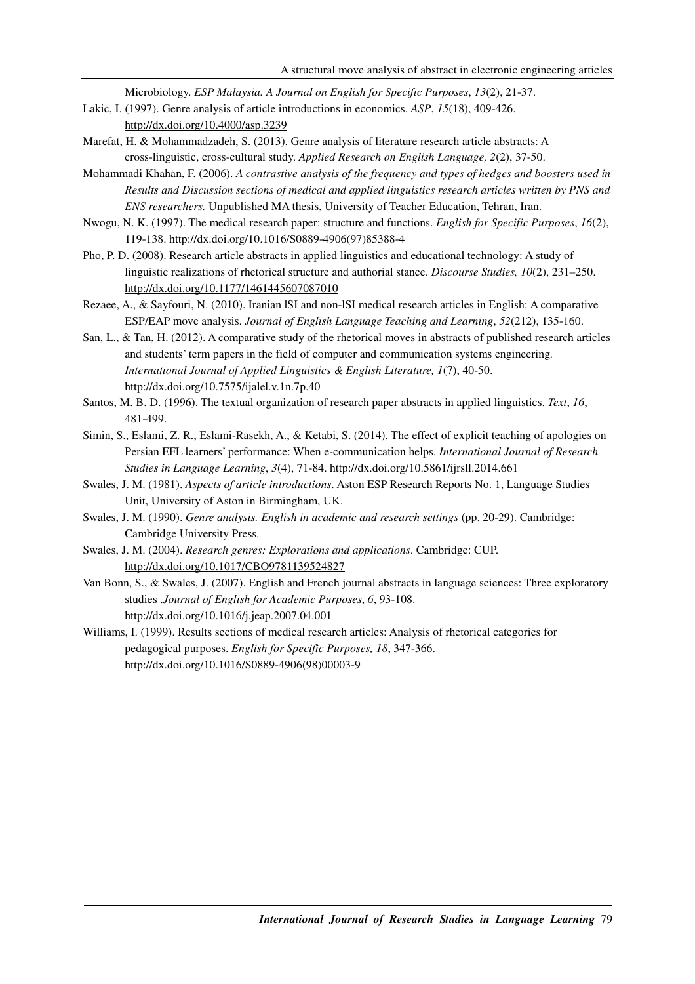Microbiology. *ESP Malaysia. A Journal on English for Specific Purposes*, *13*(2), 21-37.

- Lakic, I. (1997). Genre analysis of article introductions in economics. *ASP*, *15*(18), 409-426. http://dx.doi.org/10.4000/asp.3239
- Marefat, H. & Mohammadzadeh, S. (2013). Genre analysis of literature research article abstracts: A cross-linguistic, cross-cultural study. *Applied Research on English Language, 2*(2), 37-50.
- Mohammadi Khahan, F. (2006). *A contrastive analysis of the frequency and types of hedges and boosters used in Results and Discussion sections of medical and applied linguistics research articles written by PNS and ENS researchers.* Unpublished MA thesis, University of Teacher Education, Tehran, Iran.
- Nwogu, N. K. (1997). The medical research paper: structure and functions. *English for Specific Purposes*, *16*(2), 119-138. http://dx.doi.org/10.1016/S0889-4906(97)85388-4
- Pho, P. D. (2008). Research article abstracts in applied linguistics and educational technology: A study of linguistic realizations of rhetorical structure and authorial stance. *Discourse Studies, 10*(2), 231–250. http://dx.doi.org/10.1177/1461445607087010
- Rezaee, A., & Sayfouri, N. (2010). Iranian lSI and non-lSI medical research articles in English: A comparative ESP/EAP move analysis. *Journal of English Language Teaching and Learning*, *52*(212), 135-160.
- San, L., & Tan, H. (2012). A comparative study of the rhetorical moves in abstracts of published research articles and students' term papers in the field of computer and communication systems engineering*. International Journal of Applied Linguistics & English Literature, 1*(7), 40-50. http://dx.doi.org/10.7575/ijalel.v.1n.7p.40
- Santos, M. B. D. (1996). The textual organization of research paper abstracts in applied linguistics. *Text*, *16*, 481-499.
- Simin, S., Eslami, Z. R., Eslami-Rasekh, A., & Ketabi, S. (2014). The effect of explicit teaching of apologies on Persian EFL learners' performance: When e-communication helps. *International Journal of Research Studies in Language Learning*, *3*(4), 71-84. http://dx.doi.org/10.5861/ijrsll.2014.661
- Swales, J. M. (1981). *Aspects of article introductions*. Aston ESP Research Reports No. 1, Language Studies Unit, University of Aston in Birmingham, UK.
- Swales, J. M. (1990). *Genre analysis. English in academic and research settings* (pp. 20-29). Cambridge: Cambridge University Press.
- Swales, J. M. (2004). *Research genres: Explorations and applications*. Cambridge: CUP. http://dx.doi.org/10.1017/CBO9781139524827
- Van Bonn, S., & Swales, J. (2007). English and French journal abstracts in language sciences: Three exploratory studies .*Journal of English for Academic Purposes*, *6*, 93-108. http://dx.doi.org/10.1016/j.jeap.2007.04.001
- Williams, I. (1999). Results sections of medical research articles: Analysis of rhetorical categories for pedagogical purposes. *English for Specific Purposes, 18*, 347-366. http://dx.doi.org/10.1016/S0889-4906(98)00003-9